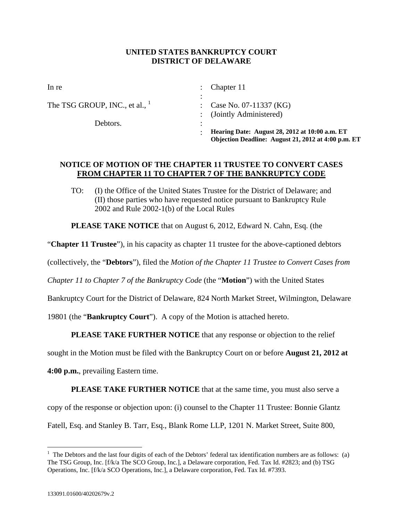## **UNITED STATES BANKRUPTCY COURT DISTRICT OF DELAWARE**

|                                  | Hearing Date: August 28, 2012 at 10:00 a.m. ET<br>Objection Deadline: August 21, 2012 at 4:00 p.m. ET |
|----------------------------------|-------------------------------------------------------------------------------------------------------|
| Debtors.                         |                                                                                                       |
|                                  | : (Jointly Administered)                                                                              |
| The TSG GROUP, INC., et al., $1$ | : Case No. 07-11337 (KG)                                                                              |
| In re                            | Chapter 11                                                                                            |
|                                  |                                                                                                       |

## **NOTICE OF MOTION OF THE CHAPTER 11 TRUSTEE TO CONVERT CASES FROM CHAPTER 11 TO CHAPTER 7 OF THE BANKRUPTCY CODE**

TO: (I) the Office of the United States Trustee for the District of Delaware; and (II) those parties who have requested notice pursuant to Bankruptcy Rule 2002 and Rule 2002-1(b) of the Local Rules

**PLEASE TAKE NOTICE** that on August 6, 2012, Edward N. Cahn, Esq. (the

"**Chapter 11 Trustee**"), in his capacity as chapter 11 trustee for the above-captioned debtors

(collectively, the "**Debtors**"), filed the *Motion of the Chapter 11 Trustee to Convert Cases from* 

*Chapter 11 to Chapter 7 of the Bankruptcy Code* (the "**Motion**") with the United States

Bankruptcy Court for the District of Delaware, 824 North Market Street, Wilmington, Delaware

19801 (the "**Bankruptcy Court**"). A copy of the Motion is attached hereto.

**PLEASE TAKE FURTHER NOTICE** that any response or objection to the relief

sought in the Motion must be filed with the Bankruptcy Court on or before **August 21, 2012 at** 

**4:00 p.m.**, prevailing Eastern time.

**PLEASE TAKE FURTHER NOTICE** that at the same time, you must also serve a copy of the response or objection upon: (i) counsel to the Chapter 11 Trustee: Bonnie Glantz Fatell, Esq. and Stanley B. Tarr, Esq., Blank Rome LLP, 1201 N. Market Street, Suite 800,

1

 $<sup>1</sup>$  The Debtors and the last four digits of each of the Debtors' federal tax identification numbers are as follows: (a)</sup> The TSG Group, Inc. [f/k/a The SCO Group, Inc.], a Delaware corporation, Fed. Tax Id. #2823; and (b) TSG Operations, Inc. [f/k/a SCO Operations, Inc.], a Delaware corporation, Fed. Tax Id. #7393.